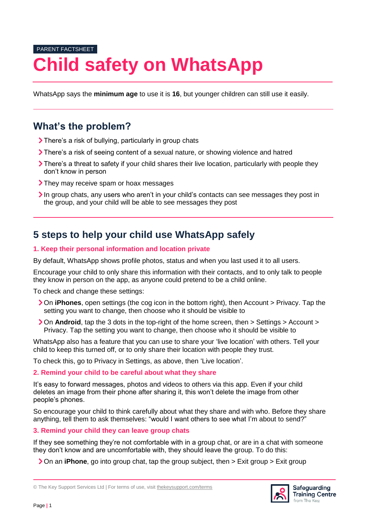# PARENT FACTSHEET **Child safety on WhatsApp**

WhatsApp says the **minimum age** to use it is **16**, but younger children can still use it easily.

## **What's the problem?**

- There's a risk of bullying, particularly in group chats
- There's a risk of seeing content of a sexual nature, or showing violence and hatred
- There's a threat to safety if your child shares their live location, particularly with people they don't know in person
- > They may receive spam or hoax messages
- In group chats, any users who aren't in your child's contacts can see messages they post in the group, and your child will be able to see messages they post

# **5 steps to help your child use WhatsApp safely**

### **1. Keep their personal information and location private**

By default, WhatsApp shows profile photos, status and when you last used it to all users.

Encourage your child to only share this information with their contacts, and to only talk to people they know in person on the app, as anyone could pretend to be a child online.

To check and change these settings:

- On **iPhones**, open settings (the cog icon in the bottom right), then Account > Privacy. Tap the setting you want to change, then choose who it should be visible to
- On **Android**, tap the 3 dots in the top-right of the home screen, then > Settings > Account > Privacy. Tap the setting you want to change, then choose who it should be visible to

WhatsApp also has a feature that you can use to share your 'live location' with others. Tell your child to keep this turned off, or to only share their location with people they trust.

To check this, go to Privacy in Settings, as above, then 'Live location'.

### **2. Remind your child to be careful about what they share**

It's easy to forward messages, photos and videos to others via this app. Even if your child deletes an image from their phone after sharing it, this won't delete the image from other people's phones.

So encourage your child to think carefully about what they share and with who. Before they share anything, tell them to ask themselves: "would I want others to see what I'm about to send?"

**3. Remind your child they can leave group chats**

If they see something they're not comfortable with in a group chat, or are in a chat with someone they don't know and are uncomfortable with, they should leave the group. To do this:

**>** On an **iPhone**, go into group chat, tap the group subject, then > Exit group > Exit group



<sup>©</sup> The Key Support Services Ltd | For terms of use, visit [thekeysupport.com/terms](https://thekeysupport.com/terms-of-use)